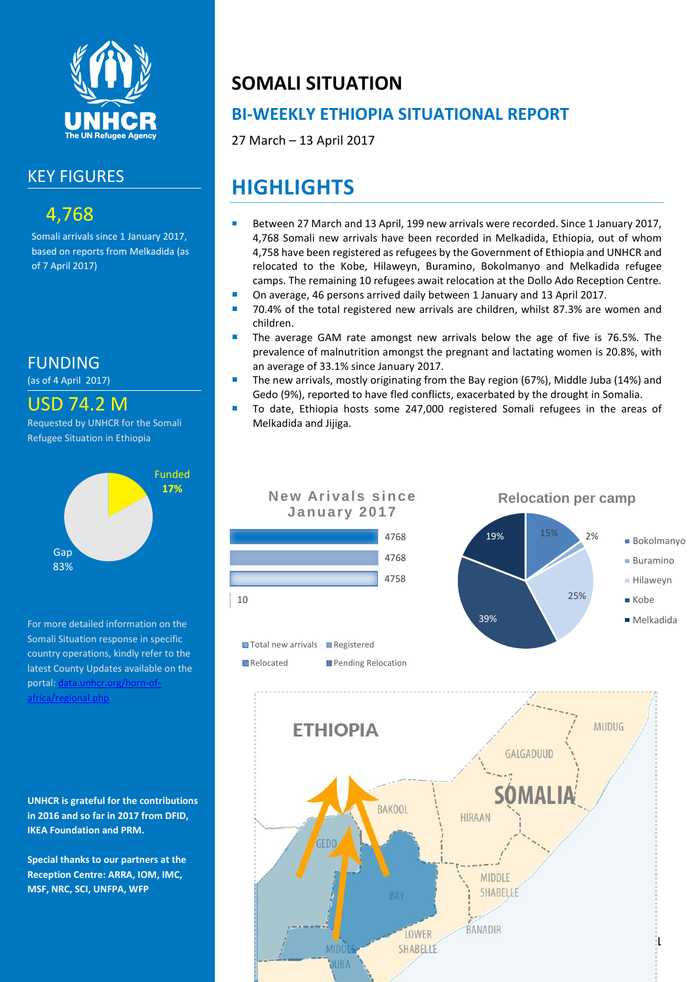

#### KEY FIGURES

### 4,768

Somali arrivals since 1 January 2017, based on reports from Melkadida (as of 7 April 2017)

FUNDING

(as of 4 April 2017)

#### USD 74.2 M

Requested by UNHCR for the Somali Refugee Situation in Ethiopia



For more detailed information on the Somali Situation response in specific country operations, kindly refer to the latest County Updates available on the portal: data.unhcr.org/horn-of [africa/regional.php](http://data.unhcr.org/SouthSudan/regional.php)

**UNHCR is grateful for the contributions in 2016 and so far in 2017 from DFID, IKEA Foundation and PRM.**

**Special thanks to our partners at the Reception Centre: ARRA, IOM, IMC, MSF, NRC, SCI, UNFPA, WFP**

## **SOMALI SITUATION**

#### **BI-WEEKLY ETHIOPIA SITUATIONAL REPORT**

27 March – 13 April 2017

# **HIGHLIGHTS**

- Between 27 March and 13 April, 199 new arrivals were recorded. Since 1 January 2017, 4,768 Somali new arrivals have been recorded in Melkadida, Ethiopia, out of whom 4,758 have been registered as refugees by the Government of Ethiopia and UNHCR and relocated to the Kobe, Hilaweyn, Buramino, Bokolmanyo and Melkadida refugee camps. The remaining 10 refugees await relocation at the Dollo Ado Reception Centre.
- On average, 46 persons arrived daily between 1 January and 13 April 2017.
- 70.4% of the total registered new arrivals are children, whilst 87.3% are women and children.
- The average GAM rate amongst new arrivals below the age of five is 76.5%. The prevalence of malnutrition amongst the pregnant and lactating women is 20.8%, with an average of 33.1% since January 2017.
- The new arrivals, mostly originating from the Bay region (67%), Middle Juba (14%) and Gedo (9%), reported to have fled conflicts, exacerbated by the drought in Somalia.
- **To date, Ethiopia hosts some 247,000 registered Somali refugees in the areas of** Melkadida and Jijiga.